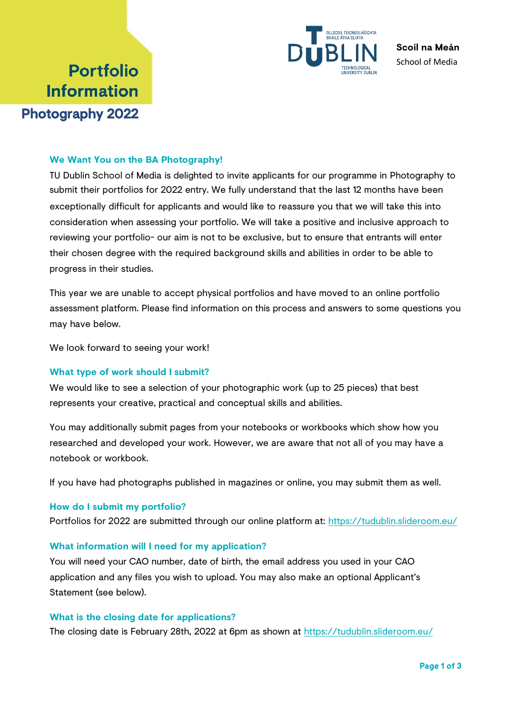

**Scoil na Meán** School of Media

# **Portfolio Information** Photography 2022

## **We Want You on the BA Photography!**

TU Dublin School of Media is delighted to invite applicants for our programme in Photography to submit their portfolios for 2022 entry. We fully understand that the last 12 months have been exceptionally difficult for applicants and would like to reassure you that we will take this into consideration when assessing your portfolio. We will take a positive and inclusive approach to reviewing your portfolio- our aim is not to be exclusive, but to ensure that entrants will enter their chosen degree with the required background skills and abilities in order to be able to progress in their studies.

This year we are unable to accept physical portfolios and have moved to an online portfolio assessment platform. Please find information on this process and answers to some questions you may have below.

We look forward to seeing your work!

#### **What type of work should I submit?**

We would like to see a selection of your photographic work (up to 25 pieces) that best represents your creative, practical and conceptual skills and abilities.

You may additionally submit pages from your notebooks or workbooks which show how you researched and developed your work. However, we are aware that not all of you may have a notebook or workbook.

If you have had photographs published in magazines or online, you may submit them as well.

#### **How do I submit my portfolio?**

Portfolios for 2022 are submitted through our online platform a[t: https://tudublin.slideroom.eu/](https://tudublin.slideroom.eu/)

#### **What information will I need for my application?**

You will need your CAO number, date of birth, the email address you used in your CAO application and any files you wish to upload. You may also make an optional Applicant's Statement (see below).

### **What is the closing date for applications?**

The closing date is February 28th, 2022 at 6pm as shown [at https://tudublin.slideroo](https://tudublin.slideroom.eu/)m.eu/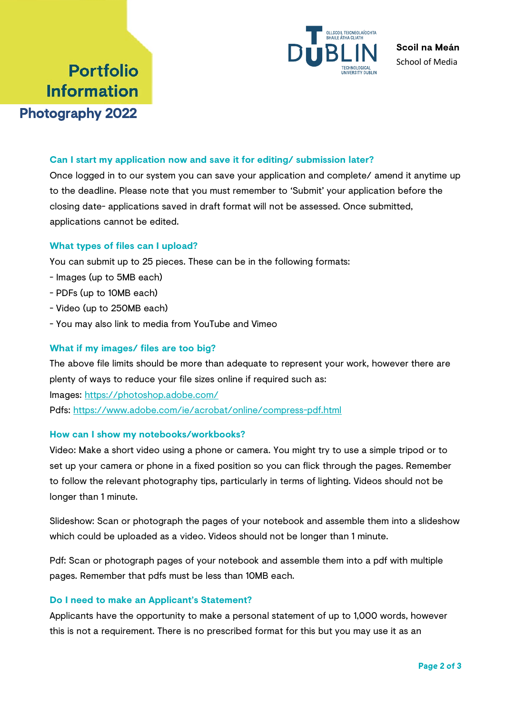

# **Portfolio Information** Photography 2022

## **Can I start my application now and save it for editing/ submission later?**

Once logged in to our system you can save your application and complete/ amend it anytime up to the deadline. Please note that you must remember to 'Submit' your application before the closing date- applications saved in draft format will not be assessed. Once submitted, applications cannot be edited.

## **What types of files can I upload?**

You can submit up to 25 pieces. These can be in the following formats:

- Images (up to 5MB each)
- PDFs (up to 10MB each)
- Video (up to 250MB each)
- You may also link to media from YouTube and Vimeo

## **What if my images/ files are too big?**

The above file limits should be more than adequate to represent your work, however there are plenty of ways to reduce your file sizes online if required such as: Images:<https://photoshop.adobe.com/> Pdfs:<https://www.adobe.com/ie/acrobat/online/compress-pdf.html>

#### **How can I show my notebooks/workbooks?**

Video: Make a short video using a phone or camera. You might try to use a simple tripod or to set up your camera or phone in a fixed position so you can flick through the pages. Remember to follow the relevant photography tips, particularly in terms of lighting. Videos should not be longer than 1 minute.

Slideshow: Scan or photograph the pages of your notebook and assemble them into a slideshow which could be uploaded as a video. Videos should not be longer than 1 minute.

Pdf: Scan or photograph pages of your notebook and assemble them into a pdf with multiple pages. Remember that pdfs must be less than 10MB each.

#### **Do I need to make an Applicant's Statement?**

Applicants have the opportunity to make a personal statement of up to 1,000 words, however this is not a requirement. There is no prescribed format for this but you may use it as an